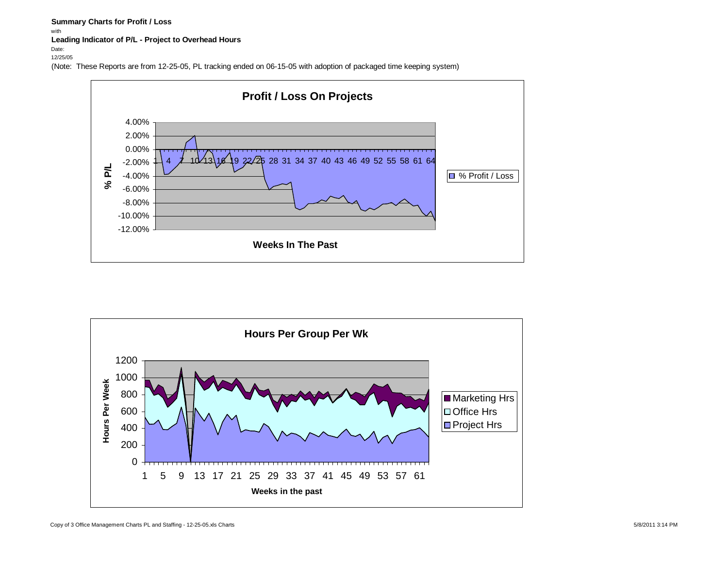## **Summary Charts for Profit / Loss**

with

## **Leading Indicator of P/L - Project to Overhead Hours**

Date: 12/25/05

(Note: These Reports are from 12-25-05, PL tracking ended on 06-15-05 with adoption of packaged time keeping system)



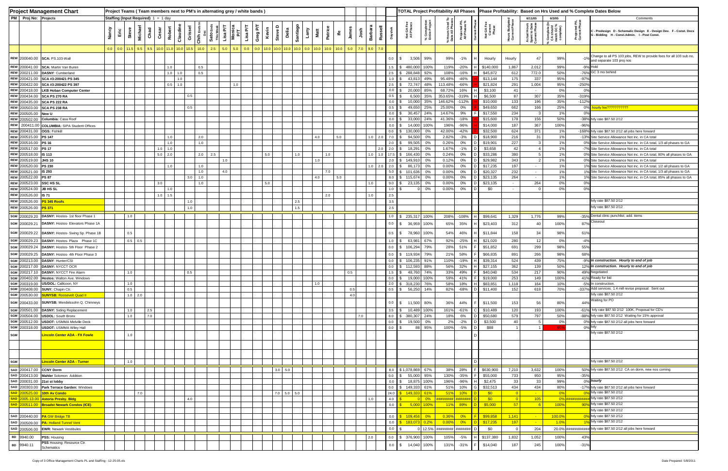|                                            | <b>Project Management Chart</b>                                                  |       |                                     |       |           |           |       |            |            |         | Project Teams ( Team members next to PM's in alternating grey / white bands ) |                                   |               |          |                   |         |             |                      |               |     |               |            |           |             |            |                            |                                                                                                                     |                             |                               |                               |                              |                                                |                                                   |                   | TOTAL Project Profitability All Phases Phase Profitability: Based on Hrs Used and % Complete Dates Below            |
|--------------------------------------------|----------------------------------------------------------------------------------|-------|-------------------------------------|-------|-----------|-----------|-------|------------|------------|---------|-------------------------------------------------------------------------------|-----------------------------------|---------------|----------|-------------------|---------|-------------|----------------------|---------------|-----|---------------|------------|-----------|-------------|------------|----------------------------|---------------------------------------------------------------------------------------------------------------------|-----------------------------|-------------------------------|-------------------------------|------------------------------|------------------------------------------------|---------------------------------------------------|-------------------|---------------------------------------------------------------------------------------------------------------------|
| PM Proj No: Projects                       |                                                                                  |       | Staffing (Input Required) 1 = 1 day |       |           |           |       |            |            |         |                                                                               |                                   |               |          |                   |         |             |                      |               |     |               |            |           |             |            |                            |                                                                                                                     |                             |                               |                               |                              |                                                | 6/3/05                                            |                   | Comments                                                                                                            |
|                                            |                                                                                  | Nancy | Ĕric                                | Steve | Michael   | Chad      | Cesar | Robert     | Claudine   | Grissel | Chih <sub>Ends</sub><br>Dec                                                   | Lisa P/T<br>Sato End<br>This Week | Monica<br>P/T | Lisa P/T | Greg P/T<br>Kevin | Steve D | Delia       | Santiago             | Larry<br>Matt |     | Patrice<br>۴e | James      | Josh      | Barbar<br>ᇎ | Days/wk    |                            | % Completion<br>Entire Project<br>త్ డి<br>풍북                                                                       |                             | Projected P/L<br>All Phases % | Net GA Fe<br>Current<br>Phase | Hours Budget<br>Current Phas | Actual Hours<br>Spent to Date<br>Current Phase | mpress<br>Should<br>Ch GC<br>There<br>ទី ទី ឌី ឌី | ed PA<br>Phase    | - Predesign D - Schematic Design E - Design Dev. F - Const. Docs<br>G - Bidding H - Const. Admin. I - Post Const.   |
|                                            |                                                                                  |       | 0.0 0.0                             |       |           | $9.5$ 9.5 |       | 11.0       | 10.0       | 10.5    | 10.0                                                                          | 2.5                               | 5.0<br>5.0    | 0.0 0.0  | 10.0              | 10.0    |             | $10.0$ 10.0 0.0 10.0 |               |     | 10.0<br>10.0  | 5.0        | $7.0$ 9.0 |             |            |                            |                                                                                                                     |                             |                               |                               |                              |                                                |                                                   |                   |                                                                                                                     |
| REW 200040.00 SCA: PS.103-Wall             |                                                                                  |       |                                     |       |           |           |       |            |            |         |                                                                               |                                   |               |          |                   |         |             |                      |               |     |               |            |           |             | 0.0        | \$                         | 3,506<br>99%                                                                                                        | 99%                         | $-1%$                         | Hourly                        | Hourly                       | 47                                             | 99%                                               |                   | Change to all PS 103 jobs, REW to provide fees for all 103 sub no,<br>and separate 103 proj nos                     |
|                                            | REW 200041.00 SCA: Martin Van Buren                                              |       |                                     |       |           |           |       | 1.0        |            |         | 0.5                                                                           |                                   |               |          |                   |         |             |                      |               |     |               |            |           |             | 1.5        |                            | \$480,000<br>100%                                                                                                   | 119%                        | $-20%$                        | \$140,000                     | 1,867                        | 2,012                                          | 99%                                               |                   | $-9%$ Hold                                                                                                          |
| REW 200211.00                              | DASNY: Cumberland                                                                |       |                                     |       |           |           |       | 1.0        | 1.0        |         | 0.5                                                                           |                                   |               |          |                   |         |             |                      |               |     |               |            |           |             | 2.5        |                            | \$ 288,848<br>92%                                                                                                   | 108%                        | $-16%$                        | \$45,872                      | 612                          | 772.0                                          | 50%                                               |                   | -76% GC 3 mo behind                                                                                                 |
| REW 200421.00<br>REW 200422.00             | SCA #3:200421 PS 345<br>SCA #3:200422 PS 397                                     |       |                                     |       |           |           |       | 0.5        | 1.0<br>1.0 |         |                                                                               |                                   | 1.0           |          |                   |         |             |                      |               |     |               |            |           |             | 1.0<br>2.5 |                            | 43,81<br>49%<br>72,747<br>48%                                                                                       | 95.48%<br>113.48%           | $-46%$<br>$-66%$              | \$13,144<br>\$21,824          | 175<br>291                   | 337<br>1,004                                   | 95%<br>95%                                        | $-97%$<br>$-250%$ |                                                                                                                     |
| REW 200418.00                              | <b>LKB Hoban Computer Center</b>                                                 |       |                                     |       |           |           |       |            |            |         |                                                                               |                                   |               |          |                   |         |             |                      |               |     |               |            |           |             | 0.0        |                            | 20,000<br>85%                                                                                                       | 68.72%                      | 16%                           | \$3,100                       | 41                           | $\sim$                                         | 0%                                                | 0%                |                                                                                                                     |
| REW 200434.00                              | SCA PS 270 RA                                                                    |       |                                     |       |           |           |       |            |            | 0.5     |                                                                               |                                   |               |          |                   |         |             |                      |               |     |               |            |           |             | 0.5        |                            | 35%<br>6,500                                                                                                        | 353.65%                     | $-319%$                       | \$6,500                       | 87                           | 307                                            | 35%                                               | $-319%$           |                                                                                                                     |
| REW 200435.00                              | SCA PS 222 RA                                                                    |       |                                     |       |           |           |       |            |            |         |                                                                               |                                   |               |          |                   |         |             |                      |               |     |               |            |           |             | 0.0        |                            | 10,000<br>35%                                                                                                       | 146.629                     | $-112%$                       | \$10,000                      | 133                          | 196                                            | 35%                                               | $-112%$           |                                                                                                                     |
| REW 200503.00<br>REW 200505.00             | SCA PS 238 RA                                                                    |       |                                     |       |           |           |       |            |            | 0.5     |                                                                               |                                   |               |          |                   |         |             |                      |               |     |               |            |           |             | 0.5<br>0.0 |                            | 49,650<br>25%<br>30,457<br>24%                                                                                      | 25.00%<br>14.67%            | $0\%$<br>9%                   | \$49,650<br>\$17,550          | 662<br>234                   | 166<br>- 3                                     | 25%                                               | 0%<br>0%          | <mark>ourly fee??????????</mark>                                                                                    |
| REW 200502.00                              | New U<br>Columbia: Casa Roof                                                     |       |                                     |       |           |           |       |            |            |         |                                                                               |                                   |               |          |                   |         |             |                      |               |     |               |            |           |             | 0.0        |                            | 33,000<br>24%                                                                                                       | 41.36%                      | $-18%$                        | \$15,600                      | 178                          | 156                                            | 1%<br>50%                                         |                   | -38% hrly rate \$87.50 2/12                                                                                         |
| REW                                        | 200411.00 COLUMBIA: SIPA Student Offices                                         |       |                                     |       |           |           |       |            |            |         |                                                                               |                                   |               |          |                   |         |             |                      |               |     |               |            |           |             | 0.0        |                            | 14,000<br>100%                                                                                                      | 196%                        | $-96%$                        | \$14,000                      | 187                          | 367                                            | 100%                                              | -96%              |                                                                                                                     |
| REW 200431.00 OGS: Fishkill                |                                                                                  |       |                                     |       |           |           |       |            |            |         |                                                                               |                                   |               |          |                   |         |             |                      |               |     |               |            |           |             | 0.0        |                            | 130,000<br>0%                                                                                                       | 42.00%                      | $-42%$                        | \$32,500                      | 624                          | 371                                            | 1%                                                |                   | -168% hrly rate \$87.50 2/12 all jobs here forward                                                                  |
| REW 200515.00 PS 147                       |                                                                                  |       |                                     |       |           |           |       | 1.0        |            |         | 2.0                                                                           |                                   |               |          |                   |         |             |                      |               | 4.0 | 5.0           |            |           | $1.0$ 2.0   | 7.0        |                            | 94,500<br>0%                                                                                                        | 2.82%                       | $-3%$                         | \$18,900                      | 216                          | 31                                             | 1%                                                |                   | -13% Site Service Allowance Not inc. in CA total                                                                    |
| REW 200516.00 PS 16<br>REW 200517.00 PS 17 |                                                                                  |       |                                     |       |           |           | 1.0   | 1.0<br>1.0 |            |         | 1.0                                                                           |                                   |               |          |                   |         |             |                      |               |     |               |            |           | 2.0         | 2.0<br>2.0 |                            | 99,505<br>0%<br>18,29<br>0%                                                                                         | 0.26%<br>1.67%              | 0%<br>$-1%$                   | \$19,901<br>\$3,658           | 227<br>42                    | -3<br>$\overline{4}$                           | 1%<br>1%                                          |                   | 0% Site Service Allowance Not inc. in CA total, 1/3 all phases to GA<br>Site Service Allowance Not inc. in CA total |
| REW 200518.00                              | <b>IS 113</b>                                                                    |       |                                     |       |           |           |       | $5.0$ 2.0  |            |         | 2.0                                                                           | 2.5                               |               |          | 5.0               |         |             |                      |               |     | 1.0           |            |           | 1.0         | 17.5       |                            | 166,430<br>0%                                                                                                       | 0.24%                       | $0\%$                         | \$33,286                      | 380                          | 5                                              | 1%                                                |                   | Site Service Allowance Not inc. in CA total, 80% all phases to GA                                                   |
| REW 200519.00                              | <b>JHS 10</b>                                                                    |       |                                     |       |           |           |       |            |            |         |                                                                               |                                   | 1.0           |          |                   |         |             |                      |               | 1.0 |               |            |           |             | 2.0        |                            | 149,91<br>0%                                                                                                        | 0.12%                       | 0%                            | \$29,982                      | 343                          | $\overline{2}$                                 | 1%                                                |                   | 0% Site Service Allowance Not inc. in CA total                                                                      |
| REW 200520.00                              | <b>PS 230</b>                                                                    |       |                                     |       |           |           |       | 1.0        |            |         | 1.0                                                                           |                                   |               |          |                   |         |             |                      |               |     |               |            |           | $1.0$ 2.0   | 2.0        |                            | 86,17<br>0%                                                                                                         | 0.00%                       | 0%                            | \$17,235                      | 197                          | $\sim$                                         | 1%                                                |                   | 1% Site Service Allowance Not inc. in CA total, 1/2 all phases to GA                                                |
| REW 200521.00<br>REW 200522.00             | <b>IS 293</b>                                                                    |       |                                     |       |           |           |       |            |            |         | 1.0                                                                           | 4.0                               |               |          |                   |         |             |                      |               |     | 7.0           |            |           |             | 5.0        |                            | 101,63<br>0%                                                                                                        | 0.00%                       | 0%                            | \$20,327                      | 232                          |                                                | 1%                                                |                   | 1% Site Service Allowance Not inc. in CA total, 1/3 all phases to GA                                                |
| REW 200523.00                              | <b>PS 87</b><br><b>SSC HS SL</b>                                                 |       |                                     |       |           |           | 3.0   |            |            | 3.0     | 1.0<br>1.0                                                                    |                                   |               |          | 5.0               |         |             |                      |               | 4.0 | 5.0           |            |           | 1.0         | 8.0<br>9.0 |                            | 115,674<br>0%<br>23,135<br>0%                                                                                       | 0.00%<br>0.00%              | 0%<br>0%                      | \$23,135<br>\$23,135          | 264                          | $\sim$<br>264                                  | 1%<br>0%                                          |                   | 1% Site Service Allowance Not inc. in CA total, 85% all phases to GA                                                |
| REW 200524.00                              | JB HS SL                                                                         |       |                                     |       |           |           |       | 1.0        |            |         |                                                                               |                                   |               |          |                   |         |             |                      |               |     |               |            |           |             | 1.0        |                            | 0%                                                                                                                  | 0.00%                       | 0%                            | \$0                           |                              | $\Omega$                                       | 0%                                                | 0 <sup>9</sup>    |                                                                                                                     |
| REW 200526.00 IS 71                        |                                                                                  |       |                                     |       |           |           |       | $1.0$ 1.5  |            |         |                                                                               |                                   |               |          |                   |         |             |                      |               |     | 2.0           |            |           | 1.0         | 2.5        |                            |                                                                                                                     |                             |                               |                               |                              |                                                |                                                   |                   |                                                                                                                     |
| REW 200526.00                              | PS 345 Roofs                                                                     |       |                                     |       |           |           |       |            |            | 1.0     |                                                                               |                                   |               |          |                   |         |             | 2.5                  |               |     |               |            |           |             | 3.5        |                            |                                                                                                                     |                             |                               |                               |                              |                                                |                                                   |                   | hrly rate \$87.50 2/12                                                                                              |
| REW 200526.00                              | <b>PS 371</b>                                                                    |       |                                     |       |           |           |       |            |            | 1.0     |                                                                               |                                   |               |          |                   |         |             |                      |               |     |               |            |           |             | 2.5        |                            |                                                                                                                     |                             |                               |                               |                              |                                                |                                                   |                   | hrly rate \$87.50 2/12                                                                                              |
| SGM 200029.20                              | DASNY: Hostos- 1st floor Phase                                                   |       |                                     | 1.0   |           |           |       |            |            |         |                                                                               |                                   |               |          |                   |         |             |                      |               |     |               |            |           |             | 1.0        |                            | 235,317<br>100%                                                                                                     | 208%                        | $-108%$                       | \$99,641                      | 1,329                        | 1,776                                          | 99%                                               | $-35%$            | Dental clinic punchlist; add. items                                                                                 |
| SGM 200029.21                              | DASNY: Hostos- Elevators Phase 1A                                                |       |                                     |       |           |           |       |            |            |         |                                                                               |                                   |               |          |                   |         |             |                      |               |     |               |            |           |             | 0.0        |                            | 36,959<br>100%                                                                                                      | 65%                         | 35%                           | \$23,403                      | 312                          | 40                                             | 100%                                              | 87%               | Closeout                                                                                                            |
| SGM 200029.22                              | DASNY: Hostos- Swing Sp. Phase 1E                                                |       |                                     | 0.5   |           |           |       |            |            |         |                                                                               |                                   |               |          |                   |         |             |                      |               |     |               |            |           |             | 0.5        |                            | 78,960<br>100%                                                                                                      | 54%                         | 46%                           | \$11,844                      | 158                          | 34                                             | 98%                                               | 61%               |                                                                                                                     |
| SGM 200029.23                              | DASNY: Hostos- Plaza Phase 1C                                                    |       |                                     |       | $0.5$ 0.5 |           |       |            |            |         |                                                                               |                                   |               |          |                   |         |             |                      |               |     |               |            |           |             | 1.0        |                            | 63,981<br>67%                                                                                                       | 92%                         | $-25%$                        | \$21,020                      | 280                          | 12                                             | 0%                                                | $-4%$             |                                                                                                                     |
| SGM 200029.24                              | DASNY: Hostos- 5th Floor Phase 2                                                 |       |                                     |       |           |           |       |            |            |         |                                                                               |                                   |               |          |                   |         |             |                      |               |     |               |            |           |             | 0.0        |                            | 106,294<br>79%                                                                                                      | 28%                         | 51%                           | \$51,852                      | 691                          | 299                                            | 98%                                               | 55%               |                                                                                                                     |
|                                            | SGM 200029.25 DASNY: Hostos- 4th Floor Phase 3                                   |       |                                     |       |           |           |       |            |            |         |                                                                               |                                   |               |          |                   |         |             |                      |               |     |               |            |           |             | 0.0        |                            | \$119,934<br>79%                                                                                                    | 21%                         | 58%                           | \$66,835                      | 891                          | 266                                            | 98%                                               | 68%               |                                                                                                                     |
| SGM 200213.00                              | DASNY: Hunter/CSI<br>SGM 200217.00 DASNY: NYCCT OCR                              |       |                                     |       |           |           |       |            |            |         |                                                                               |                                   |               |          |                   |         |             |                      |               |     |               |            |           |             | 0.0<br>0.0 |                            | 106,235<br>91%<br>\$112,593<br>88%                                                                                  | 110%<br>56%                 | $-19%$<br>32%                 | \$39,314<br>\$27,155          | 524<br>362                   | 439<br>139                                     | 75%<br>50%                                        |                   | -9% In construction. Hourly to end of job<br>12% In construction. Hourly to end of job                              |
|                                            | SGM 200217.10 DASNY: NYCCT Fire Alarm                                            |       |                                     | 1.0   |           |           |       |            |            | 0.5     |                                                                               |                                   |               |          |                   |         |             |                      |               |     |               | 0.5        |           |             |            |                            | 48,760<br>74%                                                                                                       | 33%                         | 49%                           | \$40,040                      | 534                          | 217                                            | 90%                                               |                   | 49% Negotiated                                                                                                      |
|                                            | SGM 200402.00 Hostos: Walton Ave. Windows                                        |       |                                     |       |           |           |       |            |            |         |                                                                               |                                   |               |          |                   |         |             |                      |               |     |               |            |           |             |            |                            | 0.0 \$ 19,000 100%                                                                                                  | 59%                         | 41%                           | \$19,000                      | 253                          | 149                                            | 100%                                              |                   | 41% Ready for bid                                                                                                   |
|                                            | SGM 200319.00 US/DOL: Callicoon, NY                                              |       |                                     | 1.0   |           |           |       |            |            |         |                                                                               |                                   |               |          |                   |         |             |                      |               | 1.0 |               |            |           |             |            |                            | 2.0 \$ 318,230 76%                                                                                                  | 58%                         | 18%                           | \$83,851                      | 1,118                        | 164                                            | 10%                                               |                   | -5% In construction.                                                                                                |
| SGM 200408.00 SUNY: Chapin Ctr.            | SGM 200530.00 SUNYSB: Roosevelt Quad II                                          |       |                                     | 0.5   | $1.0$ 2.0 |           |       |            |            |         |                                                                               |                                   |               |          |                   |         |             |                      |               |     |               | 0.5<br>4.0 |           |             |            |                            | 0.5 \$ 56,250 14%                                                                                                   | 82%                         | -68%                          | \$11,400                      | 152                          | 618                                            | 70%                                               |                   | -337% Add services. 1.4 mill revise proposal: Sent out<br>hrly rate \$87.50 2/12                                    |
|                                            | SGM 200433.00 SUNYSB: Mendelssohn Q. Chimneys                                    |       |                                     |       |           |           |       |            |            |         |                                                                               |                                   |               |          |                   |         |             |                      |               |     |               |            |           |             |            |                            | 0.0 \$ 11,500 80%                                                                                                   | 36%                         | 44%                           | \$11,500                      | 153                          | 56                                             | 80%                                               |                   | Waiting for PO                                                                                                      |
|                                            | SGM 200501.00 DASNY: Siding Replacement                                          |       |                                     | 1.0   |           | 2.5       |       |            |            |         |                                                                               |                                   |               |          |                   |         |             |                      |               |     |               |            |           |             |            |                            | 3.5 \$ 10,489 100%                                                                                                  | 161%                        | $-61%$                        | \$10,489                      | 120                          | 193                                            | 100%                                              |                   | -61% hrly rate \$87.50 2/12 100K, Proposal for CD's                                                                 |
|                                            | SGM 200504.00 USDOL: South Bronx                                                 |       |                                     | 1.0   |           | 7.0       |       |            |            |         |                                                                               |                                   |               |          |                   |         |             |                      |               |     |               |            | 7.0       |             | 8.0        |                            | \$380,307<br>24%                                                                                                    | 18%                         | 6%                            | \$50,680                      | 579                          | 797                                            | 50%                                               |                   | -88% hrly rate \$87.50 2/12 Waiting for 15% approval                                                                |
|                                            | SGM 200512.00 USDOT: USMMA Melville Deck                                         |       |                                     |       |           |           |       |            |            |         |                                                                               |                                   |               |          |                   |         |             |                      |               |     |               |            |           |             |            |                            | 0.0 \$ 19,500<br>0%                                                                                                 | 2%                          | $-2%$                         | \$3,500                       | 40                           | - 5                                            | 0%                                                |                   | 0% hrly rate \$87.50 2/12 all jobs here forward                                                                     |
| SGM                                        | SGM 200318.00 USDOT: USMMA Wiley Hall<br>Lincoln Center ADA - FX Fowle           |       |                                     | 1.0   |           |           |       |            |            |         |                                                                               |                                   |               |          |                   |         |             |                      |               |     |               |            |           |             |            | $0.0$ \$                   | 88 95%                                                                                                              | 100%                        | -5%                           | \$88                          |                              | $\overline{1}$                                 |                                                   |                   | 0% hrly<br>hrly rate \$87.50 2/12                                                                                   |
|                                            |                                                                                  |       |                                     |       |           |           |       |            |            |         |                                                                               |                                   |               |          |                   |         |             |                      |               |     |               |            |           |             |            |                            |                                                                                                                     |                             |                               |                               |                              |                                                |                                                   |                   |                                                                                                                     |
|                                            |                                                                                  |       |                                     |       |           |           |       |            |            |         |                                                                               |                                   |               |          |                   |         |             |                      |               |     |               |            |           |             |            |                            |                                                                                                                     |                             |                               |                               |                              |                                                |                                                   |                   |                                                                                                                     |
| SGM                                        | <b>Lincoln Center ADA - Turner</b>                                               |       |                                     | 1.0   |           |           |       |            |            |         |                                                                               |                                   |               |          |                   |         |             |                      |               |     |               |            |           |             |            |                            |                                                                                                                     |                             |                               |                               |                              |                                                |                                                   |                   | hrly rate \$87.50 2/12                                                                                              |
| SAD 200417.00 CCNY Dorm                    | SAD 200413.00 Mahler Solomon Addition                                            |       |                                     |       |           |           |       |            |            |         |                                                                               |                                   |               |          |                   |         | $3.0\ 5.0$  |                      |               |     |               |            |           |             |            | $0.0$ \$                   | 8.0 \$1,078,869 67%                                                                                                 | 38%                         | 28%<br>$-35%$                 | \$630,900<br>\$55,000         | 7,210                        | 3,632<br>950                                   | 100%                                              | $-35%$            | 50% hrly rate \$87.50 2/12 CA on dorm, new nos coming                                                               |
| SAD 200031.00 21st st lobby                |                                                                                  |       |                                     |       |           |           |       |            |            |         |                                                                               |                                   |               |          |                   |         |             |                      |               |     |               |            |           |             |            |                            | 55,000 95%<br>0.0 \$ 18,875 100%                                                                                    | 130%<br>196%                | $-96%$                        | \$2,475                       | 733<br>33                    | 33                                             | 95%<br>99%                                        |                   | $0\%$ hourly                                                                                                        |
|                                            | SAD 200303.00 Park Terrace Garden: Windows                                       |       |                                     |       |           |           |       |            |            |         |                                                                               |                                   |               |          |                   |         |             |                      |               |     |               |            |           |             |            |                            | 0.0 \$ 149,333 61%                                                                                                  | 51%                         | 10%                           | \$32,513                      | 434                          | 434                                            | 80%                                               |                   | -17% hrly rate \$87.50 2/12 all jobs here forward                                                                   |
| SAD 200525.00 10th Av Condo                |                                                                                  |       |                                     |       | 7.0       |           |       |            |            |         |                                                                               |                                   |               |          |                   |         | 7.0 5.0 5.0 |                      |               |     |               |            |           |             |            | 24.0 $\frac{1}{5}$ 149,333 | 61%                                                                                                                 | $-51%$                      | 10%                           | \$0                           | _റ                           | $\sim$ $\sim$                                  | 0%                                                |                   | 0% hrly rate \$87.50 2/12                                                                                           |
|                                            | SAD 2005.13.00 Astoria Presby. Bldg<br>SAD 200511.00 Broadst Newark Condos (ICE) |       |                                     |       |           |           |       |            |            | 4.0     |                                                                               |                                   |               |          |                   |         |             |                      |               |     |               |            |           | 1.0         |            |                            | $\begin{array}{ c c c c c } \hline \textbf{0} & \textbf{0\%} \ \hline \end{array}$<br>0.0 $\frac{12}{9}$ 5,000 100% | <del>########</del> ####### | 89%                           | \$0<br>\$5,000                | $\overline{\ }$ 0<br>57      | 105                                            | 100%                                              |                   | $0\%$ ########### hrly rate \$87.50 2/12<br>90% hrly rate \$87.50 2/12                                              |
|                                            |                                                                                  |       |                                     |       |           |           |       |            |            |         |                                                                               |                                   |               |          |                   |         |             |                      |               |     |               |            |           |             |            |                            |                                                                                                                     | 11%                         |                               |                               |                              | $6\overline{6}$                                |                                                   |                   | hrly rate \$87.50 2/12                                                                                              |
| SAD 200440.00 PA GW Bridge TB              |                                                                                  |       |                                     |       |           |           |       |            |            |         |                                                                               |                                   |               |          |                   |         |             |                      |               |     |               |            |           |             |            |                            | 0.0 $\frac{1}{5}$ 109,456 0%                                                                                        | $0.36\%$                    | $0\%$                         | \$99,858                      | 1,141                        | $\sim 10^{-10}$                                | 100.0%                                            |                   | 0% hrly rate \$87.50 2/12                                                                                           |
|                                            | SAD 200509.00 PA: Holland Tunnel Vent                                            |       |                                     |       |           |           |       |            |            |         |                                                                               |                                   |               |          |                   |         |             |                      |               |     |               |            |           |             |            |                            | $0.0$ $\frac{12}{9}$ $\frac{183,073}{0.2\%}$                                                                        | 0.00%                       | 0%                            | \$17,235                      | 197                          | $\sim$ $\sim$                                  | $-1.0%$                                           |                   | 1% hrly rate \$87.50 2/12                                                                                           |
|                                            | SAD 200506.00 EWR: Newark Vestibules                                             |       |                                     |       |           |           |       |            |            |         |                                                                               |                                   |               |          |                   |         |             |                      |               |     |               |            |           |             |            | $0.0\,$ \$                 | 0 12.5% ######## ########                                                                                           |                             |                               | \$0                           | - 0                          | 204                                            |                                                   |                   | 20.0% ########### hrly rate \$87.50 2/12 all jobs here forward                                                      |
| BD 9940.00                                 | PSS: Housing                                                                     |       |                                     |       |           |           |       |            |            |         |                                                                               |                                   |               |          |                   |         |             |                      |               |     |               |            |           | 2.0         |            | 0.0 \$ 376,900             | 100%                                                                                                                | 105%                        | $-5%$                         | \$137,380                     | 1,832                        | 1,052                                          | 100%                                              | 43%               |                                                                                                                     |
| BD 9940.11                                 | PSS Housing: Resource Ctr.<br>Schematics                                         |       |                                     |       |           |           |       |            |            |         |                                                                               |                                   |               |          |                   |         |             |                      |               |     |               |            |           |             |            |                            | 0.0 \$ 14,040 100%                                                                                                  | 131%                        | $-31%$                        | \$14,040                      | 187                          | 245                                            | 100%                                              | $-31%$            |                                                                                                                     |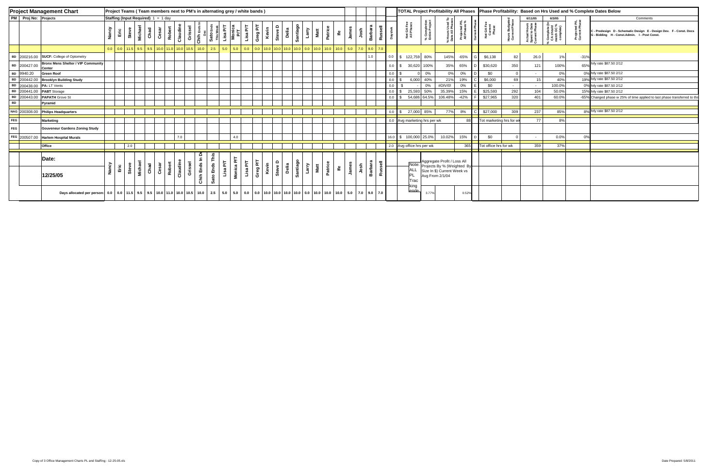|                      | <b>Project Management Chart</b>                                                                                                                                                                   |               |                                              |     |   |               |       |                               |     |           |                             | Project Teams (Team members next to PM's in alternating grey / white bands)                                                                                                                                                                                                                                                                                                                                                                                                 |            |         |                                          |  |               |                          |  |                          |               |     |                  |                              |               |           |                                                                   |                                         |     |                               |      |    |                                                |                                                  |        | TOTAL Project Profitability All Phases Phase Profitability: Based on Hrs Used and % Complete Dates Below           |
|----------------------|---------------------------------------------------------------------------------------------------------------------------------------------------------------------------------------------------|---------------|----------------------------------------------|-----|---|---------------|-------|-------------------------------|-----|-----------|-----------------------------|-----------------------------------------------------------------------------------------------------------------------------------------------------------------------------------------------------------------------------------------------------------------------------------------------------------------------------------------------------------------------------------------------------------------------------------------------------------------------------|------------|---------|------------------------------------------|--|---------------|--------------------------|--|--------------------------|---------------|-----|------------------|------------------------------|---------------|-----------|-------------------------------------------------------------------|-----------------------------------------|-----|-------------------------------|------|----|------------------------------------------------|--------------------------------------------------|--------|--------------------------------------------------------------------------------------------------------------------|
| PM Proj No: Projects |                                                                                                                                                                                                   |               | <b>Staffing (Input Required)</b> $1 = 1$ day |     |   |               |       |                               |     |           |                             |                                                                                                                                                                                                                                                                                                                                                                                                                                                                             |            |         |                                          |  |               |                          |  |                          |               |     |                  |                              |               |           |                                                                   |                                         |     |                               |      |    | 6/11/05                                        | 6/3/05                                           |        | Comments                                                                                                           |
|                      |                                                                                                                                                                                                   |               |                                              |     | έ |               | Cesar |                               |     |           |                             | $\begin{tabular}{ c c } \hline \multicolumn{1}{ c }{\text{Robert}} \\ \hline \multicolumn{1}{ c }{\text{Robert}} \\ \hline \multicolumn{1}{ c }{\text{Claudine}} \\ \hline \multicolumn{1}{ c }{\text{Cmin}} \\ \hline \multicolumn{1}{ c }{\text{Cmin}} \\ \hline \multicolumn{1}{ c }{\text{Cmin}} \\ \hline \multicolumn{1}{ c }{\text{Cmin}} \\ \hline \multicolumn{1}{ c }{\text{Sato}} \\ \hline \multicolumn{1}{ c }{\text{Monica}} \\ \hline \multicolumn{1}{ c }{$ |            |         | Lisa P/T<br>Greg P/T<br>Kevin<br>Steve D |  | entiag        | Larry<br>Matt<br>Patrice |  | Jame<br>J<br>e۴          |               |     |                  | GA Fee<br>Phase<br>, के द    |               | 통틀<br>ا ≫ | % Hours Used To<br>Date All Phases                                | ted P/L<br>ases %<br>Project<br>All Pha |     | Net GA Fe<br>Current<br>Phase | -운 호 |    | Actual Hours<br>Spent to Date<br>Current Phase | o Complete<br>CA should<br>match GC<br>complete) |        | C - Predesign D - Schematic Design E - Design Dev. F - Const. Docs<br>3 - Bidding H - Const.Admin. I - Post Const. |
|                      |                                                                                                                                                                                                   |               |                                              |     |   |               |       |                               |     |           |                             | 0.0   0.0   11.5   9.5   9.5   10.0   11.0   10.0   10.5   10.0   2.5   5.0   5.0                                                                                                                                                                                                                                                                                                                                                                                           |            |         |                                          |  |               |                          |  |                          |               |     |                  |                              |               |           |                                                                   |                                         |     |                               |      |    |                                                |                                                  |        |                                                                                                                    |
|                      | BD 200216.00 SUCF: College of Optometry                                                                                                                                                           |               |                                              |     |   |               |       |                               |     |           |                             |                                                                                                                                                                                                                                                                                                                                                                                                                                                                             |            |         |                                          |  |               |                          |  |                          |               | 1.0 |                  | 0.0 \$ 122,759 80%           |               |           | 145%                                                              | -65%                                    |     | \$6,138                       |      | 82 | 26.0                                           | 1%                                               | $-31%$ |                                                                                                                    |
| BD 200427.00         | <b>Bronx Mens Shelter / VIP Community</b><br>Center                                                                                                                                               |               |                                              |     |   |               |       |                               |     |           |                             |                                                                                                                                                                                                                                                                                                                                                                                                                                                                             |            |         |                                          |  |               |                          |  |                          |               |     |                  |                              | 30,620 100%   |           | 35%                                                               | 65%                                     |     | \$30,620                      | 350  |    | 121                                            | 100%                                             | 65%    | hrly rate \$87.50 2/12                                                                                             |
| BD 9940.20           | <b>Green Roof</b>                                                                                                                                                                                 |               |                                              |     |   |               |       |                               |     |           |                             |                                                                                                                                                                                                                                                                                                                                                                                                                                                                             |            |         |                                          |  |               |                          |  |                          |               |     | 0.0              |                              |               | 0%        | 0%                                                                | 0%                                      |     | \$0                           |      |    |                                                | 0%                                               |        | 0% hrly rate \$87.50 2/12                                                                                          |
|                      | BD 200442.00 Brooklyn Building Study                                                                                                                                                              |               |                                              |     |   |               |       |                               |     |           |                             |                                                                                                                                                                                                                                                                                                                                                                                                                                                                             |            |         |                                          |  |               |                          |  |                          |               |     | $0.0$ \$         |                              | 6,000         | 40%       | 21%                                                               | 19%                                     |     | \$6,000                       |      | 69 |                                                | 40%                                              |        | 19% hrly rate \$87.50 2/12                                                                                         |
|                      | BD 200438.00 PA: LT Vents                                                                                                                                                                         |               |                                              |     |   |               |       |                               |     |           |                             |                                                                                                                                                                                                                                                                                                                                                                                                                                                                             |            |         |                                          |  |               |                          |  |                          |               |     | 0.0              |                              |               | 0%        | #DIV/0!                                                           | 0%                                      |     | \$0                           |      |    |                                                | 100.0%                                           |        | 0% hrly rate \$87.50 2/12                                                                                          |
|                      | BD 200441.00 PABT Storage                                                                                                                                                                         |               |                                              |     |   |               |       |                               |     |           |                             |                                                                                                                                                                                                                                                                                                                                                                                                                                                                             |            |         |                                          |  |               |                          |  |                          |               |     | 0.0 <sup>5</sup> |                              | 25,593        | 50%       | 35.39%                                                            | 15%                                     |     | \$25,593                      | 292  |    | 104                                            | 50.0%                                            |        | 15% hrly rate \$87.50 2/12                                                                                         |
|                      | BD 200443.00 PAPATH Grove St                                                                                                                                                                      |               |                                              |     |   |               |       |                               |     |           |                             |                                                                                                                                                                                                                                                                                                                                                                                                                                                                             |            |         |                                          |  |               |                          |  |                          |               |     |                  |                              |               |           | 0.0 \$ 54,686 64.5% 106.48%                                       | $-42%$                                  |     | \$27,965                      | 320  |    | 401                                            | 60.0%                                            |        | -65% Changed phase w 25% of time applied to last phase transferred to th                                           |
| BD                   | Pyramid                                                                                                                                                                                           |               |                                              |     |   |               |       |                               |     |           |                             |                                                                                                                                                                                                                                                                                                                                                                                                                                                                             |            |         |                                          |  |               |                          |  |                          |               |     |                  |                              |               |           |                                                                   |                                         |     |                               |      |    |                                                |                                                  |        |                                                                                                                    |
|                      | NAG 200308.00 Philips Headquarters                                                                                                                                                                |               |                                              |     |   |               |       |                               |     |           |                             |                                                                                                                                                                                                                                                                                                                                                                                                                                                                             |            |         |                                          |  |               |                          |  |                          |               |     | 0.0              |                              | 27,000 85%    |           | 77%                                                               | 8%                                      |     | \$27,000                      | 309  |    | 237                                            | 85%                                              |        | 8% hrly rate \$87.50 2/12                                                                                          |
| <b>FEG</b>           | <b>Marketing</b>                                                                                                                                                                                  |               |                                              |     |   |               |       |                               |     |           |                             |                                                                                                                                                                                                                                                                                                                                                                                                                                                                             |            |         |                                          |  |               |                          |  |                          |               |     |                  | 0.0 Avg marketing hrs per wk |               |           |                                                                   |                                         |     | Tot marketing hrs for wl      |      |    |                                                | 8%                                               |        |                                                                                                                    |
| <b>FEG</b>           | <b>Gouveneur Gardens Zoning Study</b>                                                                                                                                                             |               |                                              |     |   |               |       |                               |     |           |                             |                                                                                                                                                                                                                                                                                                                                                                                                                                                                             |            |         |                                          |  |               |                          |  |                          |               |     |                  |                              |               |           |                                                                   |                                         |     |                               |      |    |                                                |                                                  |        |                                                                                                                    |
|                      | FEG 200507.00 Harlem Hospital Murals                                                                                                                                                              |               |                                              |     |   |               |       |                               | 7.0 |           |                             |                                                                                                                                                                                                                                                                                                                                                                                                                                                                             | 4.0        |         |                                          |  |               |                          |  |                          |               |     |                  | 16.0 \$ 100,000 25.0%        |               |           | 10.02%                                                            | 15%                                     |     | \$0                           |      |    |                                                | 0.0%                                             |        |                                                                                                                    |
|                      | Office                                                                                                                                                                                            |               |                                              | 2.0 |   |               |       |                               |     |           |                             |                                                                                                                                                                                                                                                                                                                                                                                                                                                                             |            |         |                                          |  |               |                          |  |                          |               |     |                  | 2.0 Avg office hrs per wk    |               |           |                                                                   |                                         | 365 | Tot office hrs for wk         |      |    | 359                                            | 37%                                              |        |                                                                                                                    |
|                      |                                                                                                                                                                                                   |               |                                              |     |   |               |       |                               |     |           |                             |                                                                                                                                                                                                                                                                                                                                                                                                                                                                             |            |         |                                          |  |               |                          |  |                          |               |     |                  |                              |               |           |                                                                   |                                         |     |                               |      |    |                                                |                                                  |        |                                                                                                                    |
|                      | Date:                                                                                                                                                                                             |               |                                              |     |   |               |       |                               |     |           |                             |                                                                                                                                                                                                                                                                                                                                                                                                                                                                             | Monica P/T |         |                                          |  | $\frac{1}{2}$ |                          |  |                          |               |     |                  |                              |               |           | - Aggregate Profit / Loss All<br>Note: Projects By % (Weighted By |                                         |     |                               |      |    |                                                |                                                  |        |                                                                                                                    |
|                      | 12/25/05                                                                                                                                                                                          | Nancy<br>Eric |                                              |     |   | Chad<br>Cesar |       | Robert<br>Claudine<br>Grissel |     | Chih Ends | ato Ends <sup>-</sup><br>Ö. | Lisa P/T                                                                                                                                                                                                                                                                                                                                                                                                                                                                    |            | Lisa PT | Greg P/T<br>Greg P/T<br>Kevin<br>Steve D |  |               | Larry<br>Matt<br>Patrice |  | $\underline{\mathbf{e}}$ | James<br>Josh |     |                  |                              | PL<br>Trac    |           | ALL Size In \$) Current Week vs<br>Avg From 2/1/04                |                                         |     |                               |      |    |                                                |                                                  |        |                                                                                                                    |
|                      | Days allocated per person: 0.0   0.0   11.5   9.5   9.5   10.0   11.0   10.0   10.5   10.0   2.5   5.0   5.0   0.0   10.0   10.0   10.0   10.0   0.0   10.0   10.0   10.0   5.0   7.0   5.0   7.0 |               |                                              |     |   |               |       |                               |     |           |                             |                                                                                                                                                                                                                                                                                                                                                                                                                                                                             |            |         |                                          |  |               |                          |  |                          |               |     |                  |                              | king<br>حصصها | 3.77%     |                                                                   | 0.52%                                   |     |                               |      |    |                                                |                                                  |        |                                                                                                                    |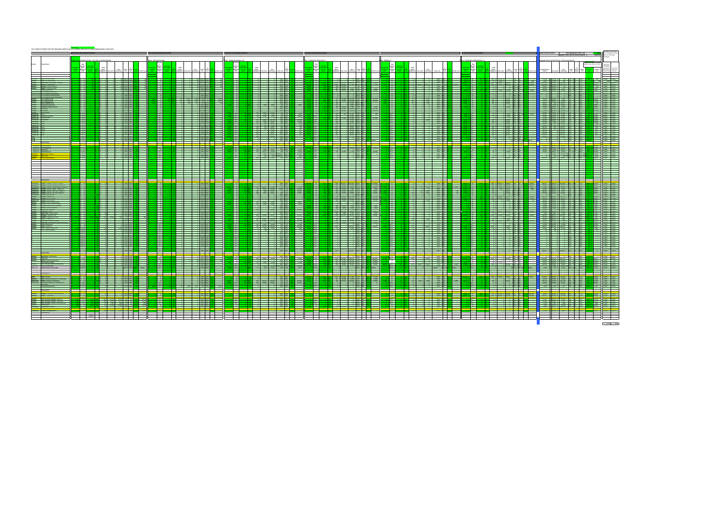|                                 | <b>UTO RAFAEFEMET INFLAT BAS</b>                                                                                |                        |                                                                                                  |                 |                                     |                            |                                                                                                                                                                                                                                |                          |                  |                                                                                                                                                                                                                                      |                                                                                                                |                                                                                                                                                                                                                                                                                            |                                                                                                           |       |                                 |                               |                                                                                                                                                                                                                                |                                                                                                                                                                                                                                      |                                                                                                                                                                                                                                                                                                                                                                                                                                            |                                                                                                             |                                                                                                                                                                                                                                              |                                                                                                                                                                                                                                  |
|---------------------------------|-----------------------------------------------------------------------------------------------------------------|------------------------|--------------------------------------------------------------------------------------------------|-----------------|-------------------------------------|----------------------------|--------------------------------------------------------------------------------------------------------------------------------------------------------------------------------------------------------------------------------|--------------------------|------------------|--------------------------------------------------------------------------------------------------------------------------------------------------------------------------------------------------------------------------------------|----------------------------------------------------------------------------------------------------------------|--------------------------------------------------------------------------------------------------------------------------------------------------------------------------------------------------------------------------------------------------------------------------------------------|-----------------------------------------------------------------------------------------------------------|-------|---------------------------------|-------------------------------|--------------------------------------------------------------------------------------------------------------------------------------------------------------------------------------------------------------------------------|--------------------------------------------------------------------------------------------------------------------------------------------------------------------------------------------------------------------------------------|--------------------------------------------------------------------------------------------------------------------------------------------------------------------------------------------------------------------------------------------------------------------------------------------------------------------------------------------------------------------------------------------------------------------------------------------|-------------------------------------------------------------------------------------------------------------|----------------------------------------------------------------------------------------------------------------------------------------------------------------------------------------------------------------------------------------------|----------------------------------------------------------------------------------------------------------------------------------------------------------------------------------------------------------------------------------|
|                                 |                                                                                                                 |                        |                                                                                                  |                 |                                     |                            |                                                                                                                                                                                                                                |                          |                  |                                                                                                                                                                                                                                      |                                                                                                                |                                                                                                                                                                                                                                                                                            |                                                                                                           |       |                                 |                               |                                                                                                                                                                                                                                |                                                                                                                                                                                                                                      |                                                                                                                                                                                                                                                                                                                                                                                                                                            |                                                                                                             |                                                                                                                                                                                                                                              |                                                                                                                                                                                                                                  |
|                                 | 高麗                                                                                                              | Test<br>Maria<br>Maria |                                                                                                  |                 | E                                   |                            | $\frac{1}{n}$                                                                                                                                                                                                                  |                          |                  |                                                                                                                                                                                                                                      | E                                                                                                              |                                                                                                                                                                                                                                                                                            |                                                                                                           |       |                                 |                               | E                                                                                                                                                                                                                              | Telef<br>Heart                                                                                                                                                                                                                       |                                                                                                                                                                                                                                                                                                                                                                                                                                            |                                                                                                             | $\frac{1}{2}$                                                                                                                                                                                                                                |                                                                                                                                                                                                                                  |
|                                 |                                                                                                                 |                        |                                                                                                  |                 |                                     |                            |                                                                                                                                                                                                                                |                          |                  |                                                                                                                                                                                                                                      |                                                                                                                |                                                                                                                                                                                                                                                                                            |                                                                                                           |       |                                 |                               |                                                                                                                                                                                                                                |                                                                                                                                                                                                                                      |                                                                                                                                                                                                                                                                                                                                                                                                                                            |                                                                                                             |                                                                                                                                                                                                                                              |                                                                                                                                                                                                                                  |
|                                 |                                                                                                                 |                        | 1-79309 7:00%                                                                                    |                 |                                     |                            |                                                                                                                                                                                                                                |                          |                  |                                                                                                                                                                                                                                      |                                                                                                                |                                                                                                                                                                                                                                                                                            |                                                                                                           |       |                                 |                               |                                                                                                                                                                                                                                |                                                                                                                                                                                                                                      |                                                                                                                                                                                                                                                                                                                                                                                                                                            |                                                                                                             |                                                                                                                                                                                                                                              |                                                                                                                                                                                                                                  |
|                                 |                                                                                                                 | $\frac{1}{2}$          |                                                                                                  |                 |                                     |                            |                                                                                                                                                                                                                                |                          |                  |                                                                                                                                                                                                                                      |                                                                                                                |                                                                                                                                                                                                                                                                                            |                                                                                                           |       |                                 |                               |                                                                                                                                                                                                                                | 62 3 87,000                                                                                                                                                                                                                          |                                                                                                                                                                                                                                                                                                                                                                                                                                            |                                                                                                             |                                                                                                                                                                                                                                              |                                                                                                                                                                                                                                  |
|                                 |                                                                                                                 |                        |                                                                                                  |                 |                                     |                            |                                                                                                                                                                                                                                |                          |                  |                                                                                                                                                                                                                                      |                                                                                                                |                                                                                                                                                                                                                                                                                            | a a I                                                                                                     |       |                                 | $\frac{1}{\sin \theta}$       |                                                                                                                                                                                                                                | ÷L.                                                                                                                                                                                                                                  | $\begin{array}{ c c } \hline \textbf{1} & \textbf{0} & \textbf{0} \\ \hline \textbf{1} & \textbf{0} & \textbf{0} & \textbf{0} \\ \hline \textbf{2} & \textbf{0} & \textbf{0} & \textbf{0} \\ \hline \textbf{3} & \textbf{0} & \textbf{0} & \textbf{0} \\ \hline \textbf{4} & \textbf{0} & \textbf{0} & \textbf{0} \\ \hline \textbf{5} & \textbf{0} & \textbf{0} & \textbf{0} \\ \hline \textbf{6} & \textbf{0} & \textbf{0} & \textbf{0}$ |                                                                                                             |                                                                                                                                                                                                                                              |                                                                                                                                                                                                                                  |
|                                 |                                                                                                                 |                        |                                                                                                  |                 |                                     |                            |                                                                                                                                                                                                                                |                          |                  |                                                                                                                                                                                                                                      |                                                                                                                |                                                                                                                                                                                                                                                                                            |                                                                                                           |       |                                 |                               |                                                                                                                                                                                                                                |                                                                                                                                                                                                                                      |                                                                                                                                                                                                                                                                                                                                                                                                                                            |                                                                                                             |                                                                                                                                                                                                                                              |                                                                                                                                                                                                                                  |
|                                 |                                                                                                                 |                        |                                                                                                  |                 |                                     |                            |                                                                                                                                                                                                                                |                          |                  |                                                                                                                                                                                                                                      |                                                                                                                |                                                                                                                                                                                                                                                                                            |                                                                                                           |       |                                 |                               |                                                                                                                                                                                                                                |                                                                                                                                                                                                                                      |                                                                                                                                                                                                                                                                                                                                                                                                                                            |                                                                                                             |                                                                                                                                                                                                                                              |                                                                                                                                                                                                                                  |
|                                 |                                                                                                                 |                        |                                                                                                  |                 |                                     | 0.3                        |                                                                                                                                                                                                                                |                          |                  | $-3.88$                                                                                                                                                                                                                              |                                                                                                                |                                                                                                                                                                                                                                                                                            |                                                                                                           |       |                                 |                               |                                                                                                                                                                                                                                | <b>Barbara</b>                                                                                                                                                                                                                       |                                                                                                                                                                                                                                                                                                                                                                                                                                            |                                                                                                             |                                                                                                                                                                                                                                              |                                                                                                                                                                                                                                  |
|                                 |                                                                                                                 |                        | - 1325 1026<br>- 1325 1026<br>- 1325 1026<br>- 1325 1026                                         |                 |                                     | $\frac{1}{x}$              |                                                                                                                                                                                                                                |                          |                  |                                                                                                                                                                                                                                      |                                                                                                                |                                                                                                                                                                                                                                                                                            |                                                                                                           |       |                                 |                               |                                                                                                                                                                                                                                |                                                                                                                                                                                                                                      |                                                                                                                                                                                                                                                                                                                                                                                                                                            |                                                                                                             |                                                                                                                                                                                                                                              |                                                                                                                                                                                                                                  |
|                                 |                                                                                                                 |                        |                                                                                                  |                 | <u>i de alta esta esperanta a l</u> | 0 100% 100<br>0 100% 120   |                                                                                                                                                                                                                                |                          |                  | and the same of the same of the same of the same of the same of the same of the same of the same of the same o<br>The same of the same of the same of the same of the same of the same of the same of the same of the same of th<br> |                                                                                                                |                                                                                                                                                                                                                                                                                            |                                                                                                           |       | - 19<br>33 - 19<br>33 - 19      | E                             |                                                                                                                                                                                                                                | E                                                                                                                                                                                                                                    | E                                                                                                                                                                                                                                                                                                                                                                                                                                          |                                                                                                             |                                                                                                                                                                                                                                              |                                                                                                                                                                                                                                  |
|                                 |                                                                                                                 |                        |                                                                                                  |                 | H                                   | 0 100% 137                 |                                                                                                                                                                                                                                |                          |                  |                                                                                                                                                                                                                                      |                                                                                                                |                                                                                                                                                                                                                                                                                            |                                                                                                           |       | ÷.                              |                               |                                                                                                                                                                                                                                | E                                                                                                                                                                                                                                    |                                                                                                                                                                                                                                                                                                                                                                                                                                            |                                                                                                             |                                                                                                                                                                                                                                              |                                                                                                                                                                                                                                  |
|                                 |                                                                                                                 |                        |                                                                                                  |                 | ÷                                   | 0 100% 130<br>0 100% 100%  |                                                                                                                                                                                                                                |                          |                  | $\begin{array}{c}\n\hline\n\text{max} \\ \hline\n\text{sum} \\ \hline\n\text{max}\n\end{array}$                                                                                                                                      |                                                                                                                |                                                                                                                                                                                                                                                                                            |                                                                                                           |       |                                 | E                             |                                                                                                                                                                                                                                |                                                                                                                                                                                                                                      |                                                                                                                                                                                                                                                                                                                                                                                                                                            |                                                                                                             |                                                                                                                                                                                                                                              |                                                                                                                                                                                                                                  |
|                                 |                                                                                                                 | 1 <sup>0</sup>         |                                                                                                  |                 | E.<br><b>EXAMPLE</b>                | 0 100% 130%                |                                                                                                                                                                                                                                |                          | 17,238 100% 1976 | $rac{17}{20}$                                                                                                                                                                                                                        |                                                                                                                |                                                                                                                                                                                                                                                                                            |                                                                                                           |       | 21. 101. 21<br>21. 101. 21      | <b>.</b>                      |                                                                                                                                                                                                                                | $107-2$<br>20.8                                                                                                                                                                                                                      |                                                                                                                                                                                                                                                                                                                                                                                                                                            |                                                                                                             |                                                                                                                                                                                                                                              |                                                                                                                                                                                                                                  |
|                                 |                                                                                                                 |                        | 3 1305 1306 1306<br>3 1305 1306 1306<br>3 1305 1306 1306 1306<br>3 1305 1306 1306                |                 | E.                                  |                            | a a constitution and a constitution of the constitution of the constitution of the constitution of the constitution of the constitution of the constitution of the constitution of the constitution of the constitution of the |                          |                  |                                                                                                                                                                                                                                      | i e de de de de de la constantin de la constantin de la constantin de la constantin de la constantin de la con | <u> Participal Management Albert 1999</u>                                                                                                                                                                                                                                                  |                                                                                                           |       |                                 |                               | is as a computer of the computer of the computer of the computer of the computer of the computer of the computer of the computer of the computer of the computer of the computer of the computer of the computer of the comput |                                                                                                                                                                                                                                      |                                                                                                                                                                                                                                                                                                                                                                                                                                            |                                                                                                             | a kara katika katika katika katika katika katika katika katika katika katika katika katika katika katika katik<br>Katika katika katika katika katika katika katika katika katika katika katika katika katika katika katika katik             | ielaika kalaikin katkai kalkai kalka kalkai kalkai kalkai.<br>1961 kalkaina kalkai kalkai kalkai kalkai kalkai kalkai kalkai kalkai.                                                                                             |
|                                 |                                                                                                                 |                        |                                                                                                  |                 |                                     | 0 100% 130                 |                                                                                                                                                                                                                                |                          |                  |                                                                                                                                                                                                                                      |                                                                                                                |                                                                                                                                                                                                                                                                                            |                                                                                                           |       |                                 |                               |                                                                                                                                                                                                                                |                                                                                                                                                                                                                                      |                                                                                                                                                                                                                                                                                                                                                                                                                                            |                                                                                                             |                                                                                                                                                                                                                                              |                                                                                                                                                                                                                                  |
|                                 |                                                                                                                 |                        |                                                                                                  |                 | E                                   |                            |                                                                                                                                                                                                                                | $\overline{\phantom{a}}$ |                  |                                                                                                                                                                                                                                      | E                                                                                                              | E,                                                                                                                                                                                                                                                                                         | 100% 10% 0                                                                                                |       |                                 | e <mark>și</mark>             | F                                                                                                                                                                                                                              |                                                                                                                                                                                                                                      |                                                                                                                                                                                                                                                                                                                                                                                                                                            |                                                                                                             |                                                                                                                                                                                                                                              |                                                                                                                                                                                                                                  |
|                                 |                                                                                                                 |                        |                                                                                                  |                 |                                     | 0 100% 130%                |                                                                                                                                                                                                                                | $\frac{1}{2}$            |                  | $\begin{array}{r} 376 \\ 358 \\ - 1636 \\ \hline 07332 \end{array}$                                                                                                                                                                  |                                                                                                                |                                                                                                                                                                                                                                                                                            |                                                                                                           |       |                                 |                               |                                                                                                                                                                                                                                | $\ddot{ }$                                                                                                                                                                                                                           |                                                                                                                                                                                                                                                                                                                                                                                                                                            |                                                                                                             |                                                                                                                                                                                                                                              |                                                                                                                                                                                                                                  |
|                                 | in a bhliain an chuid an chuid an chuid an chuid an chuid an chuid an chuid an chuid an chuid an chuid an chuid |                        |                                                                                                  |                 | E.                                  | 0 100% 120%                | <u>is an international</u>                                                                                                                                                                                                     |                          |                  | $rac{0.005}{1600}$                                                                                                                                                                                                                   |                                                                                                                | $\frac{1}{2}$                                                                                                                                                                                                                                                                              | 1984 - 1984<br>1984 - 1984 - 1984 - 1984<br>1995 - 1994 - 1994 - 1994 - 1994<br>1995 - 1994 - 1994 - 1994 |       | $-50$                           | E                             | $\overline{\phantom{a}}$                                                                                                                                                                                                       | $\frac{1}{m+1}$                                                                                                                                                                                                                      |                                                                                                                                                                                                                                                                                                                                                                                                                                            |                                                                                                             | <b>TANA BERKETAN DENGAN DENGAN DENGAN DENGAN DENGAN DENGAN DENGAN DENGAN DENGAN DENGAN DENGAN DENGAN DENGAN DENG</b><br>En dengan dengan dengan dengan dengan dengan dengan dengan dengan dengan dengan dengan dengan dengan dengan de       | 176 6076<br>176 1476                                                                                                                                                                                                             |
|                                 |                                                                                                                 |                        | $\blacksquare$                                                                                   |                 |                                     |                            |                                                                                                                                                                                                                                |                          |                  |                                                                                                                                                                                                                                      |                                                                                                                |                                                                                                                                                                                                                                                                                            | Ï                                                                                                         |       |                                 |                               |                                                                                                                                                                                                                                |                                                                                                                                                                                                                                      |                                                                                                                                                                                                                                                                                                                                                                                                                                            |                                                                                                             |                                                                                                                                                                                                                                              |                                                                                                                                                                                                                                  |
|                                 |                                                                                                                 |                        |                                                                                                  |                 |                                     |                            |                                                                                                                                                                                                                                |                          |                  |                                                                                                                                                                                                                                      |                                                                                                                |                                                                                                                                                                                                                                                                                            |                                                                                                           |       |                                 |                               |                                                                                                                                                                                                                                |                                                                                                                                                                                                                                      |                                                                                                                                                                                                                                                                                                                                                                                                                                            |                                                                                                             |                                                                                                                                                                                                                                              |                                                                                                                                                                                                                                  |
|                                 |                                                                                                                 |                        |                                                                                                  |                 |                                     |                            |                                                                                                                                                                                                                                |                          |                  |                                                                                                                                                                                                                                      |                                                                                                                |                                                                                                                                                                                                                                                                                            |                                                                                                           |       |                                 |                               |                                                                                                                                                                                                                                |                                                                                                                                                                                                                                      |                                                                                                                                                                                                                                                                                                                                                                                                                                            |                                                                                                             |                                                                                                                                                                                                                                              |                                                                                                                                                                                                                                  |
|                                 |                                                                                                                 |                        |                                                                                                  |                 |                                     |                            |                                                                                                                                                                                                                                |                          |                  |                                                                                                                                                                                                                                      |                                                                                                                |                                                                                                                                                                                                                                                                                            |                                                                                                           |       |                                 |                               |                                                                                                                                                                                                                                |                                                                                                                                                                                                                                      |                                                                                                                                                                                                                                                                                                                                                                                                                                            |                                                                                                             |                                                                                                                                                                                                                                              |                                                                                                                                                                                                                                  |
|                                 |                                                                                                                 |                        | 100% 100%                                                                                        |                 |                                     |                            |                                                                                                                                                                                                                                |                          |                  |                                                                                                                                                                                                                                      |                                                                                                                |                                                                                                                                                                                                                                                                                            |                                                                                                           |       |                                 |                               |                                                                                                                                                                                                                                | E                                                                                                                                                                                                                                    |                                                                                                                                                                                                                                                                                                                                                                                                                                            |                                                                                                             |                                                                                                                                                                                                                                              |                                                                                                                                                                                                                                  |
| <b>TEESER</b>                   |                                                                                                                 |                        |                                                                                                  |                 |                                     |                            |                                                                                                                                                                                                                                |                          |                  |                                                                                                                                                                                                                                      |                                                                                                                |                                                                                                                                                                                                                                                                                            |                                                                                                           |       |                                 |                               |                                                                                                                                                                                                                                |                                                                                                                                                                                                                                      |                                                                                                                                                                                                                                                                                                                                                                                                                                            |                                                                                                             |                                                                                                                                                                                                                                              |                                                                                                                                                                                                                                  |
|                                 |                                                                                                                 |                        |                                                                                                  |                 | <b>Childrich School</b>             | 0 100% 137                 | <b>TERRETA EL SEGUNDO DE LA SEGUNDO DE LA SEGUNDO DE LA SEGUNDO DE LA SEGUNDO DE LA SEGUNDO DE LA SEGUNDO DE LA S</b>                                                                                                          |                          |                  |                                                                                                                                                                                                                                      | e estata de la contrata de la construction de la construction de la construction de la construction de la cons |                                                                                                                                                                                                                                                                                            | <b>Professor Andrews Concerned State</b>                                                                  |       |                                 |                               |                                                                                                                                                                                                                                | in a serie a serie a serie a serie a serie a serie a serie a serie a serie a serie a serie a serie a serie a s<br>A serie a serie a serie a serie a serie a serie a serie a serie a serie a serie a serie a serie a serie a ser<br>A |                                                                                                                                                                                                                                                                                                                                                                                                                                            |                                                                                                             | <u>, Andrej Andrej Andrej Andrej Andrej Andrej Andrej Andrej Andrej Andrej Andrej Andrej Andrej Andrej Andrej And<br/>1990 - Paris II.a (1990), prima politika i politika i politika i politika i politika i politika i politika i<br/>1</u> | l alaksinteetti ja lahteettiettelestelmän kaupunkinna talouttaa ja lahteettiin.<br>Ilmattaa ja lahteettiin talouttaa ja talouttaa ja talouttaa ja lahteettiin.                                                                   |
|                                 |                                                                                                                 |                        |                                                                                                  |                 |                                     | 0 100% 100%<br>0 100% 100% |                                                                                                                                                                                                                                |                          |                  | $\frac{1}{2}$                                                                                                                                                                                                                        |                                                                                                                |                                                                                                                                                                                                                                                                                            |                                                                                                           |       |                                 |                               |                                                                                                                                                                                                                                |                                                                                                                                                                                                                                      |                                                                                                                                                                                                                                                                                                                                                                                                                                            |                                                                                                             |                                                                                                                                                                                                                                              |                                                                                                                                                                                                                                  |
|                                 |                                                                                                                 |                        |                                                                                                  |                 |                                     | 0 100% 100%                |                                                                                                                                                                                                                                |                          |                  | 18,000                                                                                                                                                                                                                               |                                                                                                                |                                                                                                                                                                                                                                                                                            |                                                                                                           |       | a<br>K                          |                               |                                                                                                                                                                                                                                | $\frac{1}{20}$                                                                                                                                                                                                                       | $m_{\rm H}$                                                                                                                                                                                                                                                                                                                                                                                                                                |                                                                                                             |                                                                                                                                                                                                                                              |                                                                                                                                                                                                                                  |
|                                 |                                                                                                                 |                        |                                                                                                  |                 |                                     | 0 100% 100%                |                                                                                                                                                                                                                                |                          |                  |                                                                                                                                                                                                                                      |                                                                                                                |                                                                                                                                                                                                                                                                                            |                                                                                                           |       |                                 | F                             |                                                                                                                                                                                                                                | $m + 1$                                                                                                                                                                                                                              | ami                                                                                                                                                                                                                                                                                                                                                                                                                                        |                                                                                                             |                                                                                                                                                                                                                                              |                                                                                                                                                                                                                                  |
|                                 |                                                                                                                 |                        | 100% 100%                                                                                        |                 |                                     | 0 100% 100%                |                                                                                                                                                                                                                                |                          |                  | $rac{1}{24.172}$                                                                                                                                                                                                                     |                                                                                                                |                                                                                                                                                                                                                                                                                            |                                                                                                           |       |                                 |                               |                                                                                                                                                                                                                                |                                                                                                                                                                                                                                      |                                                                                                                                                                                                                                                                                                                                                                                                                                            | 44,333 \$ 9,900 SPL 7% BOL                                                                                  |                                                                                                                                                                                                                                              |                                                                                                                                                                                                                                  |
|                                 |                                                                                                                 |                        | 150% 100%<br>150% 100%<br>150% 100%                                                              |                 | Ħ                                   |                            |                                                                                                                                                                                                                                |                          |                  | (64,330)                                                                                                                                                                                                                             |                                                                                                                |                                                                                                                                                                                                                                                                                            | <b>31</b>                                                                                                 |       |                                 | E                             |                                                                                                                                                                                                                                |                                                                                                                                                                                                                                      |                                                                                                                                                                                                                                                                                                                                                                                                                                            |                                                                                                             |                                                                                                                                                                                                                                              |                                                                                                                                                                                                                                  |
|                                 |                                                                                                                 |                        | 1985 1995<br>1995 1995<br>1995 1995 1<br>1995 1995                                               |                 | E                                   |                            |                                                                                                                                                                                                                                |                          |                  |                                                                                                                                                                                                                                      |                                                                                                                |                                                                                                                                                                                                                                                                                            | 1001 1012<br>1001 1032<br>1001 1032                                                                       |       |                                 |                               |                                                                                                                                                                                                                                |                                                                                                                                                                                                                                      |                                                                                                                                                                                                                                                                                                                                                                                                                                            |                                                                                                             |                                                                                                                                                                                                                                              |                                                                                                                                                                                                                                  |
|                                 |                                                                                                                 |                        |                                                                                                  |                 |                                     |                            |                                                                                                                                                                                                                                |                          |                  |                                                                                                                                                                                                                                      |                                                                                                                |                                                                                                                                                                                                                                                                                            |                                                                                                           |       |                                 |                               |                                                                                                                                                                                                                                |                                                                                                                                                                                                                                      |                                                                                                                                                                                                                                                                                                                                                                                                                                            |                                                                                                             |                                                                                                                                                                                                                                              |                                                                                                                                                                                                                                  |
|                                 |                                                                                                                 |                        | 1205 1205 1206<br>1205 1205 1206<br>1205 1205 1205 1206<br>1205 1205 1205 1206<br>1205 1205 1206 |                 | E                                   |                            |                                                                                                                                                                                                                                |                          |                  |                                                                                                                                                                                                                                      |                                                                                                                |                                                                                                                                                                                                                                                                                            |                                                                                                           |       |                                 | i<br>Lihat                    |                                                                                                                                                                                                                                |                                                                                                                                                                                                                                      |                                                                                                                                                                                                                                                                                                                                                                                                                                            | 15<br>1930 - 1930 1930 1931 1945<br>1945 - 1945 1946 1947 1948 1948<br>1948 - 1948 1948 1948 1948 1948 1948 |                                                                                                                                                                                                                                              |                                                                                                                                                                                                                                  |
|                                 |                                                                                                                 |                        |                                                                                                  |                 | E                                   |                            |                                                                                                                                                                                                                                |                          |                  |                                                                                                                                                                                                                                      |                                                                                                                |                                                                                                                                                                                                                                                                                            |                                                                                                           |       |                                 |                               |                                                                                                                                                                                                                                |                                                                                                                                                                                                                                      |                                                                                                                                                                                                                                                                                                                                                                                                                                            |                                                                                                             |                                                                                                                                                                                                                                              |                                                                                                                                                                                                                                  |
|                                 |                                                                                                                 |                        |                                                                                                  |                 |                                     |                            |                                                                                                                                                                                                                                |                          |                  |                                                                                                                                                                                                                                      |                                                                                                                |                                                                                                                                                                                                                                                                                            |                                                                                                           |       |                                 |                               |                                                                                                                                                                                                                                |                                                                                                                                                                                                                                      |                                                                                                                                                                                                                                                                                                                                                                                                                                            |                                                                                                             |                                                                                                                                                                                                                                              |                                                                                                                                                                                                                                  |
|                                 | E                                                                                                               |                        | 100% 100%                                                                                        |                 | Į,                                  |                            | E.<br>F                                                                                                                                                                                                                        |                          | $\oplus$         |                                                                                                                                                                                                                                      |                                                                                                                | $\begin{tabular}{ c c c c } \hline . & . & . & . & . \\ \hline 1,00 & 10 & 0.00 & 0.00 & 0.00 & 0.00 & 0.00 & 0.00 & 0.00 & 0.00 & 0.00 & 0.00 & 0.00 & 0.00 & 0.00 & 0.00 & 0.00 & 0.00 & 0.00 & 0.00 & 0.00 & 0.00 & 0.00 & 0.00 & 0.00 & 0.00 & 0.00 & 0.00 & 0.00 & 0.00 & 0.00 & 0.0$ | os tos <mark>o</mark>                                                                                     |       |                                 |                               | <b>CONTRACT</b>                                                                                                                                                                                                                | 3.02.3                                                                                                                                                                                                                               |                                                                                                                                                                                                                                                                                                                                                                                                                                            |                                                                                                             |                                                                                                                                                                                                                                              |                                                                                                                                                                                                                                  |
| <b>103 Park Terrace Gardens</b> |                                                                                                                 |                        | 1201 1001<br>1201 1001<br>1201 1001                                                              |                 | E.                                  |                            |                                                                                                                                                                                                                                |                          | . .              |                                                                                                                                                                                                                                      |                                                                                                                |                                                                                                                                                                                                                                                                                            | $m =$                                                                                                     | L.    | ₩                               | <b>Barbara</b>                |                                                                                                                                                                                                                                | <b>E</b>                                                                                                                                                                                                                             |                                                                                                                                                                                                                                                                                                                                                                                                                                            | 1 11206 1 11230 125 155 155<br>1 3653 1 11363 165 165 165<br>1 1130 1 1203 105 155 325                      |                                                                                                                                                                                                                                              |                                                                                                                                                                                                                                  |
|                                 |                                                                                                                 |                        | <u>Ti</u>                                                                                        |                 | E                                   |                            |                                                                                                                                                                                                                                |                          | P                |                                                                                                                                                                                                                                      |                                                                                                                |                                                                                                                                                                                                                                                                                            |                                                                                                           |       | M                               | <b>DOWN</b>                   |                                                                                                                                                                                                                                |                                                                                                                                                                                                                                      |                                                                                                                                                                                                                                                                                                                                                                                                                                            |                                                                                                             |                                                                                                                                                                                                                                              |                                                                                                                                                                                                                                  |
|                                 |                                                                                                                 |                        |                                                                                                  |                 |                                     |                            |                                                                                                                                                                                                                                |                          |                  |                                                                                                                                                                                                                                      |                                                                                                                |                                                                                                                                                                                                                                                                                            |                                                                                                           |       |                                 |                               |                                                                                                                                                                                                                                |                                                                                                                                                                                                                                      |                                                                                                                                                                                                                                                                                                                                                                                                                                            |                                                                                                             |                                                                                                                                                                                                                                              |                                                                                                                                                                                                                                  |
|                                 |                                                                                                                 |                        |                                                                                                  |                 |                                     |                            |                                                                                                                                                                                                                                |                          |                  |                                                                                                                                                                                                                                      |                                                                                                                |                                                                                                                                                                                                                                                                                            |                                                                                                           | i a l |                                 |                               |                                                                                                                                                                                                                                | $\mathbb{R}$                                                                                                                                                                                                                         |                                                                                                                                                                                                                                                                                                                                                                                                                                            |                                                                                                             |                                                                                                                                                                                                                                              |                                                                                                                                                                                                                                  |
|                                 | in                                                                                                              |                        | 3 1324 1004<br>3 1324 1324<br>3 1324 1004<br>3 1324 1004 1                                       |                 | E                                   | t                          | E                                                                                                                                                                                                                              |                          |                  |                                                                                                                                                                                                                                      | R                                                                                                              |                                                                                                                                                                                                                                                                                            |                                                                                                           |       |                                 | til 1<br>$\frac{1}{\sqrt{2}}$ | E                                                                                                                                                                                                                              |                                                                                                                                                                                                                                      | E.                                                                                                                                                                                                                                                                                                                                                                                                                                         |                                                                                                             | La Barat de La Barat de La Barat de La Barat de La Barat de La Barat de La Barat de La Barat de La Barat de La<br>1990 - Carlos de La Barat de La Barat de La Barat de La Barat de La Barca de La Barca de La Barca de La Barca<br>1         |                                                                                                                                                                                                                                  |
|                                 |                                                                                                                 |                        |                                                                                                  |                 |                                     |                            |                                                                                                                                                                                                                                |                          |                  |                                                                                                                                                                                                                                      |                                                                                                                |                                                                                                                                                                                                                                                                                            |                                                                                                           |       |                                 |                               |                                                                                                                                                                                                                                |                                                                                                                                                                                                                                      |                                                                                                                                                                                                                                                                                                                                                                                                                                            |                                                                                                             |                                                                                                                                                                                                                                              |                                                                                                                                                                                                                                  |
|                                 | $\frac{1}{2}$ : $\frac{n}{n}$                                                                                   |                        |                                                                                                  |                 | Ħ                                   |                            | Ħ                                                                                                                                                                                                                              |                          |                  |                                                                                                                                                                                                                                      | $\overline{a}$                                                                                                 |                                                                                                                                                                                                                                                                                            |                                                                                                           |       |                                 |                               | $\overline{\phantom{a}}$                                                                                                                                                                                                       |                                                                                                                                                                                                                                      | $\blacksquare$                                                                                                                                                                                                                                                                                                                                                                                                                             |                                                                                                             | 1 33.165<br>1 74.556<br>1 2.1756<br>1 2.3755<br>1 2.3755                                                                                                                                                                                     | a kara katika katika katika katika katika katika katika katika katika katika katika katika katika katika katik<br>Katika katika katika katika katika katika katika katika katika katika katika katika katika katika katika katik |
|                                 | E                                                                                                               |                        |                                                                                                  |                 | E                                   |                            | F                                                                                                                                                                                                                              |                          | E.               |                                                                                                                                                                                                                                      | H                                                                                                              | ∃                                                                                                                                                                                                                                                                                          |                                                                                                           | E.    |                                 | E.                            | E                                                                                                                                                                                                                              |                                                                                                                                                                                                                                      |                                                                                                                                                                                                                                                                                                                                                                                                                                            | $\frac{221}{221} + \frac{277}{217} + \frac{23}{217} + \frac{25}{217} + \frac{25}{217}$                      |                                                                                                                                                                                                                                              |                                                                                                                                                                                                                                  |
|                                 | <b>an</b> 1994                                                                                                  |                        |                                                                                                  | 300 221 331 332 | $\frac{1}{2}$                       |                            | 22.5                                                                                                                                                                                                                           |                          |                  |                                                                                                                                                                                                                                      | a <mark>l est</mark>                                                                                           |                                                                                                                                                                                                                                                                                            | <u>tan ar a t</u>                                                                                         |       | <u>an ten <mark>en s</mark></u> |                               | <b>Part 1</b>                                                                                                                                                                                                                  |                                                                                                                                                                                                                                      |                                                                                                                                                                                                                                                                                                                                                                                                                                            | 27,000 3 23,6% \$ 4,3% \$ 25% \$ 10% \$                                                                     | $\frac{1}{2}$ and $\frac{1}{2}$                                                                                                                                                                                                              |                                                                                                                                                                                                                                  |
|                                 | $\frac{1}{10000}$                                                                                               |                        | i de la p                                                                                        |                 |                                     | $\overline{+}\,$           | $\color{red}+$                                                                                                                                                                                                                 |                          | Ħ                |                                                                                                                                                                                                                                      |                                                                                                                |                                                                                                                                                                                                                                                                                            | $\pm$                                                                                                     |       |                                 | Ħ                             |                                                                                                                                                                                                                                |                                                                                                                                                                                                                                      | $\overline{\phantom{a}}$                                                                                                                                                                                                                                                                                                                                                                                                                   | $\overline{\phantom{a}}$                                                                                    |                                                                                                                                                                                                                                              |                                                                                                                                                                                                                                  |
|                                 |                                                                                                                 |                        |                                                                                                  |                 |                                     |                            |                                                                                                                                                                                                                                |                          |                  |                                                                                                                                                                                                                                      |                                                                                                                |                                                                                                                                                                                                                                                                                            |                                                                                                           |       |                                 |                               |                                                                                                                                                                                                                                |                                                                                                                                                                                                                                      |                                                                                                                                                                                                                                                                                                                                                                                                                                            |                                                                                                             |                                                                                                                                                                                                                                              |                                                                                                                                                                                                                                  |
|                                 |                                                                                                                 |                        |                                                                                                  |                 |                                     |                            |                                                                                                                                                                                                                                |                          |                  |                                                                                                                                                                                                                                      |                                                                                                                |                                                                                                                                                                                                                                                                                            |                                                                                                           |       |                                 |                               |                                                                                                                                                                                                                                |                                                                                                                                                                                                                                      |                                                                                                                                                                                                                                                                                                                                                                                                                                            |                                                                                                             |                                                                                                                                                                                                                                              | <b>Contact Service</b>                                                                                                                                                                                                           |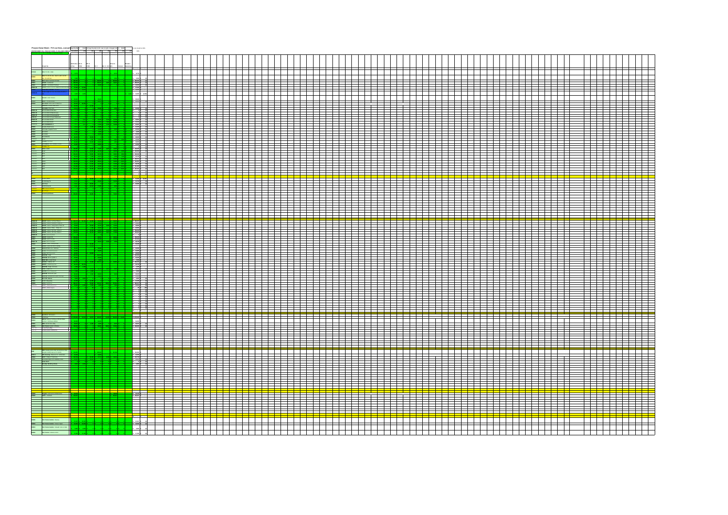|  |  | $\begin{array}{ c c c c c } \hline \text{1.00,000} & \text{0.000} \\ \hline \text{1.00,000} & \text{0.000} \\ \hline \text{1.00,000} & \text{0.000} \\ \hline \text{1.0000} & \text{1.000} \\ \hline \end{array}$              |  |                        |  | ---------------------- |  | ----------------------- |  | واصابعتها والمازعان والماري المرابط |  | sissississä                                                                                                                                                                                                                                                                                                                                                                                                                       |                                              |                                  |
|--|--|--------------------------------------------------------------------------------------------------------------------------------------------------------------------------------------------------------------------------------|--|------------------------|--|------------------------|--|-------------------------|--|-------------------------------------|--|-----------------------------------------------------------------------------------------------------------------------------------------------------------------------------------------------------------------------------------------------------------------------------------------------------------------------------------------------------------------------------------------------------------------------------------|----------------------------------------------|----------------------------------|
|  |  |                                                                                                                                                                                                                                |  |                        |  |                        |  |                         |  |                                     |  |                                                                                                                                                                                                                                                                                                                                                                                                                                   |                                              |                                  |
|  |  |                                                                                                                                                                                                                                |  |                        |  |                        |  |                         |  |                                     |  |                                                                                                                                                                                                                                                                                                                                                                                                                                   |                                              |                                  |
|  |  |                                                                                                                                                                                                                                |  |                        |  |                        |  |                         |  |                                     |  |                                                                                                                                                                                                                                                                                                                                                                                                                                   |                                              |                                  |
|  |  | $1 - 20,000$                                                                                                                                                                                                                   |  |                        |  |                        |  |                         |  |                                     |  |                                                                                                                                                                                                                                                                                                                                                                                                                                   |                                              |                                  |
|  |  |                                                                                                                                                                                                                                |  |                        |  |                        |  |                         |  |                                     |  | $\frac{1}{2}$                                                                                                                                                                                                                                                                                                                                                                                                                     |                                              | ╪═╪═╪═╪═╪═╪═╪═<br>╪═╪┉╪═╪═╪═╪═╪═ |
|  |  |                                                                                                                                                                                                                                |  |                        |  |                        |  |                         |  |                                     |  |                                                                                                                                                                                                                                                                                                                                                                                                                                   |                                              |                                  |
|  |  |                                                                                                                                                                                                                                |  |                        |  |                        |  |                         |  |                                     |  |                                                                                                                                                                                                                                                                                                                                                                                                                                   |                                              |                                  |
|  |  |                                                                                                                                                                                                                                |  |                        |  |                        |  |                         |  |                                     |  |                                                                                                                                                                                                                                                                                                                                                                                                                                   |                                              |                                  |
|  |  |                                                                                                                                                                                                                                |  |                        |  |                        |  |                         |  |                                     |  | ----                                                                                                                                                                                                                                                                                                                                                                                                                              |                                              |                                  |
|  |  |                                                                                                                                                                                                                                |  |                        |  |                        |  |                         |  |                                     |  |                                                                                                                                                                                                                                                                                                                                                                                                                                   |                                              |                                  |
|  |  |                                                                                                                                                                                                                                |  |                        |  |                        |  |                         |  |                                     |  |                                                                                                                                                                                                                                                                                                                                                                                                                                   |                                              |                                  |
|  |  |                                                                                                                                                                                                                                |  |                        |  |                        |  |                         |  |                                     |  |                                                                                                                                                                                                                                                                                                                                                                                                                                   |                                              |                                  |
|  |  |                                                                                                                                                                                                                                |  |                        |  |                        |  |                         |  |                                     |  |                                                                                                                                                                                                                                                                                                                                                                                                                                   |                                              |                                  |
|  |  |                                                                                                                                                                                                                                |  |                        |  |                        |  |                         |  |                                     |  |                                                                                                                                                                                                                                                                                                                                                                                                                                   |                                              |                                  |
|  |  |                                                                                                                                                                                                                                |  |                        |  |                        |  |                         |  |                                     |  |                                                                                                                                                                                                                                                                                                                                                                                                                                   |                                              |                                  |
|  |  |                                                                                                                                                                                                                                |  |                        |  |                        |  |                         |  |                                     |  |                                                                                                                                                                                                                                                                                                                                                                                                                                   |                                              |                                  |
|  |  |                                                                                                                                                                                                                                |  |                        |  |                        |  |                         |  |                                     |  |                                                                                                                                                                                                                                                                                                                                                                                                                                   |                                              |                                  |
|  |  |                                                                                                                                                                                                                                |  |                        |  |                        |  |                         |  |                                     |  |                                                                                                                                                                                                                                                                                                                                                                                                                                   |                                              |                                  |
|  |  | $\begin{array}{ c c c c c }\hline c & 0.00 & 0 & 0.00 & 0 \\ \hline c & 0.00 & 0 & 0 & 0 & 0 \\ \hline 1 & 0.00 & 1 & 0 & 0 & 0 \\ \hline \end{array}$                                                                         |  |                        |  |                        |  |                         |  |                                     |  |                                                                                                                                                                                                                                                                                                                                                                                                                                   |                                              |                                  |
|  |  |                                                                                                                                                                                                                                |  |                        |  |                        |  |                         |  |                                     |  |                                                                                                                                                                                                                                                                                                                                                                                                                                   |                                              |                                  |
|  |  |                                                                                                                                                                                                                                |  |                        |  |                        |  |                         |  |                                     |  |                                                                                                                                                                                                                                                                                                                                                                                                                                   |                                              |                                  |
|  |  |                                                                                                                                                                                                                                |  |                        |  |                        |  |                         |  |                                     |  |                                                                                                                                                                                                                                                                                                                                                                                                                                   |                                              |                                  |
|  |  |                                                                                                                                                                                                                                |  |                        |  |                        |  |                         |  |                                     |  |                                                                                                                                                                                                                                                                                                                                                                                                                                   |                                              |                                  |
|  |  |                                                                                                                                                                                                                                |  |                        |  |                        |  |                         |  |                                     |  |                                                                                                                                                                                                                                                                                                                                                                                                                                   |                                              |                                  |
|  |  |                                                                                                                                                                                                                                |  |                        |  |                        |  |                         |  |                                     |  |                                                                                                                                                                                                                                                                                                                                                                                                                                   |                                              |                                  |
|  |  |                                                                                                                                                                                                                                |  |                        |  |                        |  |                         |  |                                     |  |                                                                                                                                                                                                                                                                                                                                                                                                                                   |                                              |                                  |
|  |  |                                                                                                                                                                                                                                |  |                        |  |                        |  |                         |  |                                     |  |                                                                                                                                                                                                                                                                                                                                                                                                                                   |                                              |                                  |
|  |  |                                                                                                                                                                                                                                |  |                        |  |                        |  |                         |  |                                     |  |                                                                                                                                                                                                                                                                                                                                                                                                                                   |                                              |                                  |
|  |  |                                                                                                                                                                                                                                |  |                        |  |                        |  |                         |  |                                     |  |                                                                                                                                                                                                                                                                                                                                                                                                                                   |                                              |                                  |
|  |  |                                                                                                                                                                                                                                |  |                        |  |                        |  |                         |  |                                     |  |                                                                                                                                                                                                                                                                                                                                                                                                                                   |                                              |                                  |
|  |  |                                                                                                                                                                                                                                |  |                        |  |                        |  |                         |  |                                     |  |                                                                                                                                                                                                                                                                                                                                                                                                                                   |                                              |                                  |
|  |  | 1 000 1                                                                                                                                                                                                                        |  |                        |  |                        |  |                         |  |                                     |  |                                                                                                                                                                                                                                                                                                                                                                                                                                   |                                              |                                  |
|  |  |                                                                                                                                                                                                                                |  |                        |  |                        |  |                         |  |                                     |  |                                                                                                                                                                                                                                                                                                                                                                                                                                   |                                              |                                  |
|  |  |                                                                                                                                                                                                                                |  |                        |  |                        |  |                         |  |                                     |  |                                                                                                                                                                                                                                                                                                                                                                                                                                   |                                              |                                  |
|  |  |                                                                                                                                                                                                                                |  |                        |  |                        |  |                         |  |                                     |  |                                                                                                                                                                                                                                                                                                                                                                                                                                   |                                              |                                  |
|  |  |                                                                                                                                                                                                                                |  |                        |  |                        |  |                         |  |                                     |  |                                                                                                                                                                                                                                                                                                                                                                                                                                   |                                              |                                  |
|  |  |                                                                                                                                                                                                                                |  |                        |  |                        |  |                         |  |                                     |  |                                                                                                                                                                                                                                                                                                                                                                                                                                   |                                              |                                  |
|  |  |                                                                                                                                                                                                                                |  |                        |  |                        |  |                         |  |                                     |  |                                                                                                                                                                                                                                                                                                                                                                                                                                   |                                              |                                  |
|  |  | t at an                                                                                                                                                                                                                        |  | ----------------       |  |                        |  | an sa B                 |  |                                     |  |                                                                                                                                                                                                                                                                                                                                                                                                                                   |                                              |                                  |
|  |  |                                                                                                                                                                                                                                |  |                        |  |                        |  |                         |  |                                     |  |                                                                                                                                                                                                                                                                                                                                                                                                                                   |                                              |                                  |
|  |  |                                                                                                                                                                                                                                |  |                        |  |                        |  |                         |  |                                     |  |                                                                                                                                                                                                                                                                                                                                                                                                                                   |                                              |                                  |
|  |  |                                                                                                                                                                                                                                |  |                        |  |                        |  |                         |  |                                     |  |                                                                                                                                                                                                                                                                                                                                                                                                                                   |                                              |                                  |
|  |  |                                                                                                                                                                                                                                |  |                        |  |                        |  |                         |  |                                     |  |                                                                                                                                                                                                                                                                                                                                                                                                                                   |                                              |                                  |
|  |  |                                                                                                                                                                                                                                |  |                        |  |                        |  |                         |  |                                     |  | $\frac{1}{\frac{1}{\sqrt{1-\frac{1}{\sqrt{1-\frac{1}{\sqrt{1-\frac{1}{\sqrt{1-\frac{1}{\sqrt{1-\frac{1}{\sqrt{1-\frac{1}{\sqrt{1-\frac{1}{\sqrt{1-\frac{1}{\sqrt{1-\frac{1}{\sqrt{1-\frac{1}{\sqrt{1-\frac{1}{\sqrt{1-\frac{1}{\sqrt{1-\frac{1}{\sqrt{1-\frac{1}{\sqrt{1-\frac{1}{\sqrt{1-\frac{1}{\sqrt{1-\frac{1}{\sqrt{1-\frac{1}{\sqrt{1-\frac{1}{\sqrt{1-\frac{1}{\sqrt{1-\frac{1}{\sqrt{1-\frac{1}{\sqrt{1-\frac{1}{\sqrt{$ |                                              |                                  |
|  |  |                                                                                                                                                                                                                                |  |                        |  |                        |  |                         |  |                                     |  |                                                                                                                                                                                                                                                                                                                                                                                                                                   |                                              | T T                              |
|  |  |                                                                                                                                                                                                                                |  |                        |  |                        |  |                         |  |                                     |  |                                                                                                                                                                                                                                                                                                                                                                                                                                   |                                              |                                  |
|  |  |                                                                                                                                                                                                                                |  | <del>11111111111</del> |  |                        |  |                         |  | ,,,,,,,,,,,,,,,,,,,,,,              |  |                                                                                                                                                                                                                                                                                                                                                                                                                                   |                                              |                                  |
|  |  |                                                                                                                                                                                                                                |  |                        |  |                        |  |                         |  |                                     |  |                                                                                                                                                                                                                                                                                                                                                                                                                                   |                                              |                                  |
|  |  |                                                                                                                                                                                                                                |  |                        |  |                        |  |                         |  |                                     |  |                                                                                                                                                                                                                                                                                                                                                                                                                                   |                                              |                                  |
|  |  |                                                                                                                                                                                                                                |  |                        |  |                        |  |                         |  |                                     |  |                                                                                                                                                                                                                                                                                                                                                                                                                                   |                                              |                                  |
|  |  |                                                                                                                                                                                                                                |  |                        |  |                        |  |                         |  |                                     |  |                                                                                                                                                                                                                                                                                                                                                                                                                                   | <del>, , , , , , , , , , , , , , , , ,</del> |                                  |
|  |  | $\begin{array}{ c c c c c }\hline \rule{0pt}{2.2ex} & & & & & & & \\ \hline 1 & 176,000 & 1 & & & & \\ \hline 2 & 16,000 & 1 & & & & \\ \hline 3 & 120,700 & 1 & & & & \\ \hline 4 & 20,600 & 1 & & & & \\ \hline \end{array}$ |  |                        |  |                        |  |                         |  |                                     |  |                                                                                                                                                                                                                                                                                                                                                                                                                                   |                                              |                                  |
|  |  | $\frac{1}{1}$ case                                                                                                                                                                                                             |  |                        |  |                        |  |                         |  |                                     |  |                                                                                                                                                                                                                                                                                                                                                                                                                                   |                                              |                                  |
|  |  |                                                                                                                                                                                                                                |  |                        |  |                        |  |                         |  |                                     |  |                                                                                                                                                                                                                                                                                                                                                                                                                                   |                                              |                                  |
|  |  | <u>esterna esterna </u>                                                                                                                                                                                                        |  |                        |  |                        |  |                         |  |                                     |  |                                                                                                                                                                                                                                                                                                                                                                                                                                   |                                              |                                  |
|  |  |                                                                                                                                                                                                                                |  |                        |  |                        |  |                         |  |                                     |  |                                                                                                                                                                                                                                                                                                                                                                                                                                   |                                              |                                  |
|  |  |                                                                                                                                                                                                                                |  |                        |  |                        |  |                         |  |                                     |  |                                                                                                                                                                                                                                                                                                                                                                                                                                   |                                              |                                  |
|  |  |                                                                                                                                                                                                                                |  |                        |  |                        |  |                         |  |                                     |  |                                                                                                                                                                                                                                                                                                                                                                                                                                   |                                              |                                  |
|  |  | $\frac{1}{1}$                                                                                                                                                                                                                  |  |                        |  |                        |  |                         |  |                                     |  |                                                                                                                                                                                                                                                                                                                                                                                                                                   |                                              |                                  |
|  |  |                                                                                                                                                                                                                                |  |                        |  |                        |  |                         |  |                                     |  |                                                                                                                                                                                                                                                                                                                                                                                                                                   |                                              |                                  |
|  |  |                                                                                                                                                                                                                                |  |                        |  |                        |  |                         |  |                                     |  |                                                                                                                                                                                                                                                                                                                                                                                                                                   |                                              |                                  |
|  |  |                                                                                                                                                                                                                                |  |                        |  |                        |  |                         |  |                                     |  |                                                                                                                                                                                                                                                                                                                                                                                                                                   |                                              |                                  |
|  |  |                                                                                                                                                                                                                                |  |                        |  |                        |  |                         |  |                                     |  |                                                                                                                                                                                                                                                                                                                                                                                                                                   |                                              |                                  |
|  |  |                                                                                                                                                                                                                                |  |                        |  |                        |  |                         |  |                                     |  |                                                                                                                                                                                                                                                                                                                                                                                                                                   |                                              |                                  |
|  |  |                                                                                                                                                                                                                                |  |                        |  |                        |  |                         |  |                                     |  |                                                                                                                                                                                                                                                                                                                                                                                                                                   |                                              |                                  |
|  |  |                                                                                                                                                                                                                                |  |                        |  |                        |  |                         |  |                                     |  |                                                                                                                                                                                                                                                                                                                                                                                                                                   |                                              |                                  |
|  |  |                                                                                                                                                                                                                                |  |                        |  |                        |  |                         |  |                                     |  |                                                                                                                                                                                                                                                                                                                                                                                                                                   |                                              |                                  |